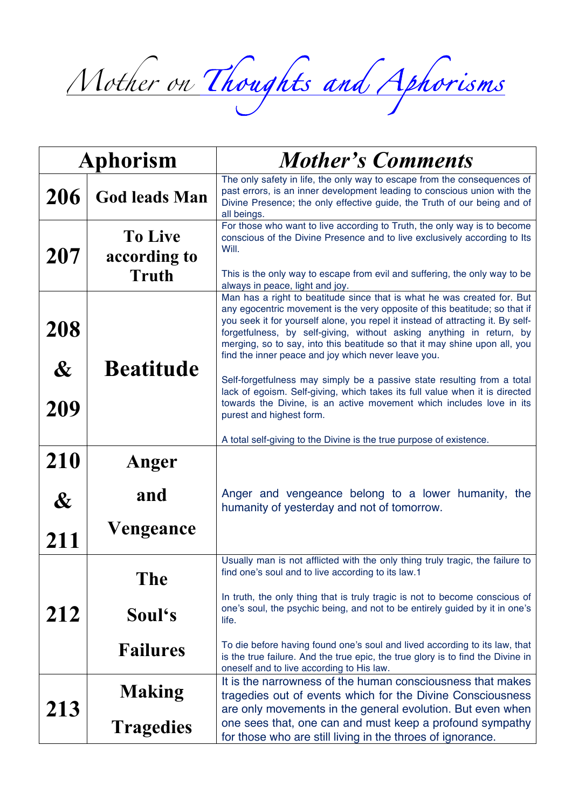*Mother on Thoughts and Aphorisms*

| <b>Aphorism</b>   |                                | <b>Mother's Comments</b>                                                                                                                                                                                                                                                                                                                                                                                                                              |
|-------------------|--------------------------------|-------------------------------------------------------------------------------------------------------------------------------------------------------------------------------------------------------------------------------------------------------------------------------------------------------------------------------------------------------------------------------------------------------------------------------------------------------|
| 206               | <b>God leads Man</b>           | The only safety in life, the only way to escape from the consequences of<br>past errors, is an inner development leading to conscious union with the<br>Divine Presence; the only effective guide, the Truth of our being and of<br>all beings.                                                                                                                                                                                                       |
| 207               | <b>To Live</b><br>according to | For those who want to live according to Truth, the only way is to become<br>conscious of the Divine Presence and to live exclusively according to Its<br>Will.                                                                                                                                                                                                                                                                                        |
|                   | <b>Truth</b>                   | This is the only way to escape from evil and suffering, the only way to be<br>always in peace, light and joy.                                                                                                                                                                                                                                                                                                                                         |
| 208               |                                | Man has a right to beatitude since that is what he was created for. But<br>any egocentric movement is the very opposite of this beatitude; so that if<br>you seek it for yourself alone, you repel it instead of attracting it. By self-<br>forgetfulness, by self-giving, without asking anything in return, by<br>merging, so to say, into this beatitude so that it may shine upon all, you<br>find the inner peace and joy which never leave you. |
| $\boldsymbol{\&}$ | <b>Beatitude</b>               | Self-forgetfulness may simply be a passive state resulting from a total<br>lack of egoism. Self-giving, which takes its full value when it is directed                                                                                                                                                                                                                                                                                                |
| 209               |                                | towards the Divine, is an active movement which includes love in its<br>purest and highest form.                                                                                                                                                                                                                                                                                                                                                      |
|                   |                                | A total self-giving to the Divine is the true purpose of existence.                                                                                                                                                                                                                                                                                                                                                                                   |
| 210               | Anger                          |                                                                                                                                                                                                                                                                                                                                                                                                                                                       |
| $\boldsymbol{\&}$ | and                            | Anger and vengeance belong to a lower humanity, the<br>humanity of yesterday and not of tomorrow.                                                                                                                                                                                                                                                                                                                                                     |
| 211               | Vengeance                      |                                                                                                                                                                                                                                                                                                                                                                                                                                                       |
|                   | The                            | Usually man is not afflicted with the only thing truly tragic, the failure to<br>find one's soul and to live according to its law.1                                                                                                                                                                                                                                                                                                                   |
| 212               | Soul's                         | In truth, the only thing that is truly tragic is not to become conscious of<br>one's soul, the psychic being, and not to be entirely guided by it in one's<br>life.                                                                                                                                                                                                                                                                                   |
|                   | <b>Failures</b>                | To die before having found one's soul and lived according to its law, that<br>is the true failure. And the true epic, the true glory is to find the Divine in<br>oneself and to live according to His law.                                                                                                                                                                                                                                            |
| 213               | <b>Making</b>                  | It is the narrowness of the human consciousness that makes<br>tragedies out of events which for the Divine Consciousness<br>are only movements in the general evolution. But even when                                                                                                                                                                                                                                                                |
|                   | <b>Tragedies</b>               | one sees that, one can and must keep a profound sympathy<br>for those who are still living in the throes of ignorance.                                                                                                                                                                                                                                                                                                                                |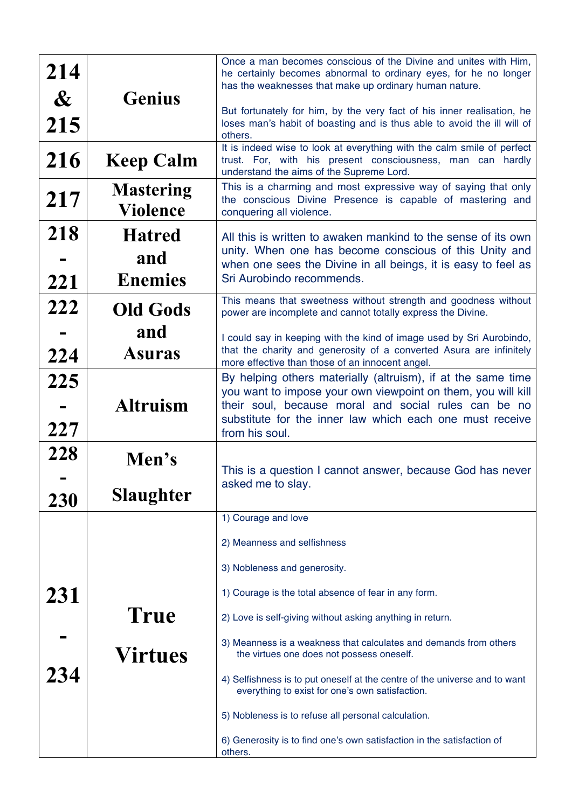| 214<br>$\boldsymbol{\alpha}$<br>215<br>216 | <b>Genius</b><br><b>Keep Calm</b>      | Once a man becomes conscious of the Divine and unites with Him,<br>he certainly becomes abnormal to ordinary eyes, for he no longer<br>has the weaknesses that make up ordinary human nature.<br>But fortunately for him, by the very fact of his inner realisation, he<br>loses man's habit of boasting and is thus able to avoid the ill will of<br>others.<br>It is indeed wise to look at everything with the calm smile of perfect<br>trust. For, with his present consciousness, man can hardly |
|--------------------------------------------|----------------------------------------|-------------------------------------------------------------------------------------------------------------------------------------------------------------------------------------------------------------------------------------------------------------------------------------------------------------------------------------------------------------------------------------------------------------------------------------------------------------------------------------------------------|
| 217                                        | <b>Mastering</b><br><b>Violence</b>    | understand the aims of the Supreme Lord.<br>This is a charming and most expressive way of saying that only<br>the conscious Divine Presence is capable of mastering and<br>conquering all violence.                                                                                                                                                                                                                                                                                                   |
| 218<br>221                                 | <b>Hatred</b><br>and<br><b>Enemies</b> | All this is written to awaken mankind to the sense of its own<br>unity. When one has become conscious of this Unity and<br>when one sees the Divine in all beings, it is easy to feel as<br>Sri Aurobindo recommends.                                                                                                                                                                                                                                                                                 |
| 222                                        | <b>Old Gods</b><br>and                 | This means that sweetness without strength and goodness without<br>power are incomplete and cannot totally express the Divine.<br>I could say in keeping with the kind of image used by Sri Aurobindo,                                                                                                                                                                                                                                                                                                |
| 224                                        | Asuras                                 | that the charity and generosity of a converted Asura are infinitely<br>more effective than those of an innocent angel.                                                                                                                                                                                                                                                                                                                                                                                |
| 225<br>227                                 | <b>Altruism</b>                        | By helping others materially (altruism), if at the same time<br>you want to impose your own viewpoint on them, you will kill<br>their soul, because moral and social rules can be no<br>substitute for the inner law which each one must receive<br>from his soul.                                                                                                                                                                                                                                    |
| 228<br>230                                 | Men's<br>Slaughter                     | This is a question I cannot answer, because God has never<br>asked me to slay.                                                                                                                                                                                                                                                                                                                                                                                                                        |
|                                            |                                        | 1) Courage and love<br>2) Meanness and selfishness                                                                                                                                                                                                                                                                                                                                                                                                                                                    |
| 231                                        |                                        | 3) Nobleness and generosity.<br>1) Courage is the total absence of fear in any form.                                                                                                                                                                                                                                                                                                                                                                                                                  |
|                                            | True                                   | 2) Love is self-giving without asking anything in return.                                                                                                                                                                                                                                                                                                                                                                                                                                             |
| 234                                        | Virtues                                | 3) Meanness is a weakness that calculates and demands from others<br>the virtues one does not possess oneself.                                                                                                                                                                                                                                                                                                                                                                                        |
|                                            |                                        | 4) Selfishness is to put oneself at the centre of the universe and to want<br>everything to exist for one's own satisfaction.                                                                                                                                                                                                                                                                                                                                                                         |
|                                            |                                        | 5) Nobleness is to refuse all personal calculation.                                                                                                                                                                                                                                                                                                                                                                                                                                                   |
|                                            |                                        | 6) Generosity is to find one's own satisfaction in the satisfaction of<br>others.                                                                                                                                                                                                                                                                                                                                                                                                                     |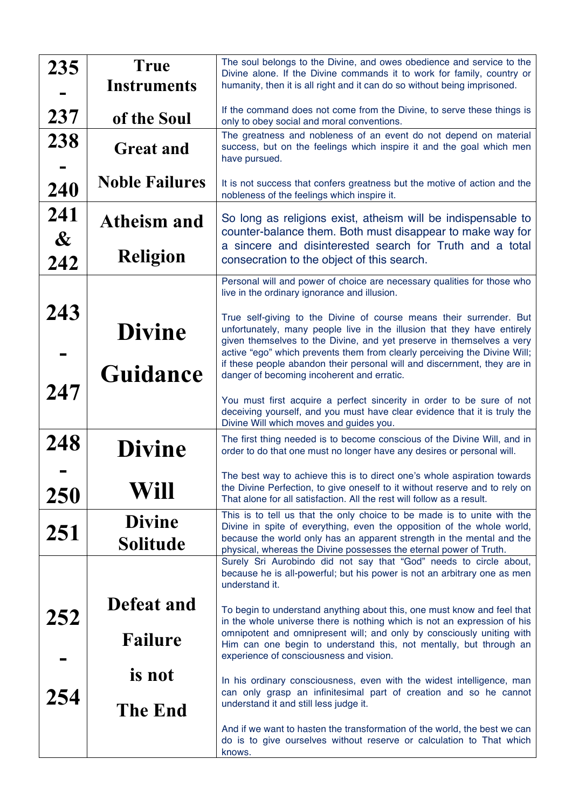| 235                               | <b>True</b><br><b>Instruments</b>     | The soul belongs to the Divine, and owes obedience and service to the<br>Divine alone. If the Divine commands it to work for family, country or<br>humanity, then it is all right and it can do so without being imprisoned.                                                                                                                                                                                                                                                   |
|-----------------------------------|---------------------------------------|--------------------------------------------------------------------------------------------------------------------------------------------------------------------------------------------------------------------------------------------------------------------------------------------------------------------------------------------------------------------------------------------------------------------------------------------------------------------------------|
| 237                               | of the Soul                           | If the command does not come from the Divine, to serve these things is<br>only to obey social and moral conventions.                                                                                                                                                                                                                                                                                                                                                           |
| 238                               | <b>Great and</b>                      | The greatness and nobleness of an event do not depend on material<br>success, but on the feelings which inspire it and the goal which men<br>have pursued.                                                                                                                                                                                                                                                                                                                     |
| 240                               | <b>Noble Failures</b>                 | It is not success that confers greatness but the motive of action and the<br>nobleness of the feelings which inspire it.                                                                                                                                                                                                                                                                                                                                                       |
| 241<br>$\boldsymbol{\mathcal{X}}$ | <b>Atheism and</b><br><b>Religion</b> | So long as religions exist, atheism will be indispensable to<br>counter-balance them. Both must disappear to make way for<br>a sincere and disinterested search for Truth and a total<br>consecration to the object of this search.                                                                                                                                                                                                                                            |
| 242                               |                                       | Personal will and power of choice are necessary qualities for those who                                                                                                                                                                                                                                                                                                                                                                                                        |
| 243<br>247                        | <b>Divine</b><br>Guidance             | live in the ordinary ignorance and illusion.<br>True self-giving to the Divine of course means their surrender. But<br>unfortunately, many people live in the illusion that they have entirely<br>given themselves to the Divine, and yet preserve in themselves a very<br>active "ego" which prevents them from clearly perceiving the Divine Will;<br>if these people abandon their personal will and discernment, they are in<br>danger of becoming incoherent and erratic. |
|                                   |                                       | You must first acquire a perfect sincerity in order to be sure of not<br>deceiving yourself, and you must have clear evidence that it is truly the<br>Divine Will which moves and guides you.                                                                                                                                                                                                                                                                                  |
| 248                               | <b>Divine</b>                         | The first thing needed is to become conscious of the Divine Will, and in<br>order to do that one must no longer have any desires or personal will.                                                                                                                                                                                                                                                                                                                             |
| 250                               | Will                                  | The best way to achieve this is to direct one's whole aspiration towards<br>the Divine Perfection, to give oneself to it without reserve and to rely on<br>That alone for all satisfaction. All the rest will follow as a result.                                                                                                                                                                                                                                              |
| 251                               | <b>Divine</b><br><b>Solitude</b>      | This is to tell us that the only choice to be made is to unite with the<br>Divine in spite of everything, even the opposition of the whole world,<br>because the world only has an apparent strength in the mental and the<br>physical, whereas the Divine possesses the eternal power of Truth.                                                                                                                                                                               |
|                                   |                                       | Surely Sri Aurobindo did not say that "God" needs to circle about,<br>because he is all-powerful; but his power is not an arbitrary one as men<br>understand it.                                                                                                                                                                                                                                                                                                               |
| 252                               | Defeat and<br>Failure                 | To begin to understand anything about this, one must know and feel that<br>in the whole universe there is nothing which is not an expression of his<br>omnipotent and omnipresent will; and only by consciously uniting with<br>Him can one begin to understand this, not mentally, but through an<br>experience of consciousness and vision.                                                                                                                                  |
| 254                               | is not<br><b>The End</b>              | In his ordinary consciousness, even with the widest intelligence, man<br>can only grasp an infinitesimal part of creation and so he cannot<br>understand it and still less judge it.                                                                                                                                                                                                                                                                                           |
|                                   |                                       | And if we want to hasten the transformation of the world, the best we can<br>do is to give ourselves without reserve or calculation to That which<br>knows.                                                                                                                                                                                                                                                                                                                    |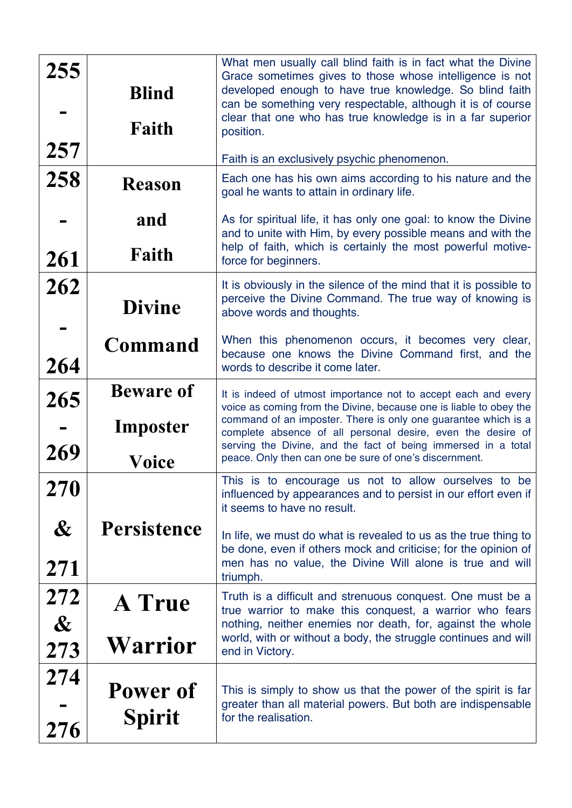| 255<br>257                          | <b>Blind</b><br>Faith                 | What men usually call blind faith is in fact what the Divine<br>Grace sometimes gives to those whose intelligence is not<br>developed enough to have true knowledge. So blind faith<br>can be something very respectable, although it is of course<br>clear that one who has true knowledge is in a far superior<br>position.<br>Faith is an exclusively psychic phenomenon.                     |
|-------------------------------------|---------------------------------------|--------------------------------------------------------------------------------------------------------------------------------------------------------------------------------------------------------------------------------------------------------------------------------------------------------------------------------------------------------------------------------------------------|
| 258                                 | <b>Reason</b>                         | Each one has his own aims according to his nature and the<br>goal he wants to attain in ordinary life.                                                                                                                                                                                                                                                                                           |
| 261                                 | and<br>Faith                          | As for spiritual life, it has only one goal: to know the Divine<br>and to unite with Him, by every possible means and with the<br>help of faith, which is certainly the most powerful motive-<br>force for beginners.                                                                                                                                                                            |
| 262                                 | <b>Divine</b>                         | It is obviously in the silence of the mind that it is possible to<br>perceive the Divine Command. The true way of knowing is<br>above words and thoughts.                                                                                                                                                                                                                                        |
| 264                                 | Command                               | When this phenomenon occurs, it becomes very clear,<br>because one knows the Divine Command first, and the<br>words to describe it come later.                                                                                                                                                                                                                                                   |
| 265<br>269                          | <b>Beware of</b><br>Imposter<br>Voice | It is indeed of utmost importance not to accept each and every<br>voice as coming from the Divine, because one is liable to obey the<br>command of an imposter. There is only one guarantee which is a<br>complete absence of all personal desire, even the desire of<br>serving the Divine, and the fact of being immersed in a total<br>peace. Only then can one be sure of one's discernment. |
| 270<br>$\boldsymbol{\&}$<br>271     | <b>Persistence</b>                    | This is to encourage us not to allow ourselves to be<br>influenced by appearances and to persist in our effort even if<br>it seems to have no result.<br>In life, we must do what is revealed to us as the true thing to<br>be done, even if others mock and criticise; for the opinion of<br>men has no value, the Divine Will alone is true and will<br>triumph.                               |
| 272<br>$\boldsymbol{\alpha}$<br>273 | <b>A</b> True<br><b>Warrior</b>       | Truth is a difficult and strenuous conquest. One must be a<br>true warrior to make this conquest, a warrior who fears<br>nothing, neither enemies nor death, for, against the whole<br>world, with or without a body, the struggle continues and will<br>end in Victory.                                                                                                                         |
| 274<br>276                          | Power of<br><b>Spirit</b>             | This is simply to show us that the power of the spirit is far<br>greater than all material powers. But both are indispensable<br>for the realisation.                                                                                                                                                                                                                                            |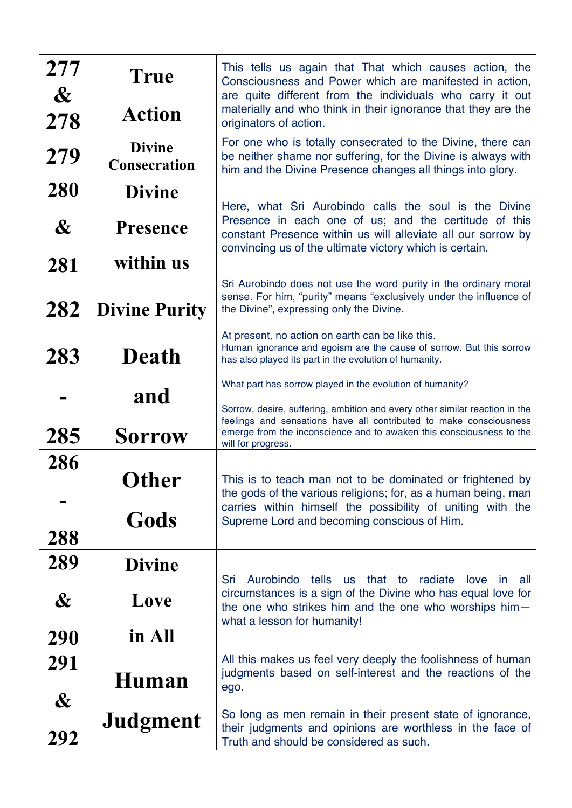| 277<br>$\boldsymbol{\alpha}$<br>278 | True<br><b>Action</b>                | This tells us again that That which causes action, the<br>Consciousness and Power which are manifested in action,<br>are quite different from the individuals who carry it out<br>materially and who think in their ignorance that they are the<br>originators of action. |
|-------------------------------------|--------------------------------------|---------------------------------------------------------------------------------------------------------------------------------------------------------------------------------------------------------------------------------------------------------------------------|
| 279                                 | <b>Divine</b><br><b>Consecration</b> | For one who is totally consecrated to the Divine, there can<br>be neither shame nor suffering, for the Divine is always with<br>him and the Divine Presence changes all things into glory.                                                                                |
| 280<br>$\boldsymbol{\&}$            | <b>Divine</b><br><b>Presence</b>     | Here, what Sri Aurobindo calls the soul is the Divine<br>Presence in each one of us; and the certitude of this<br>constant Presence within us will alleviate all our sorrow by<br>convincing us of the ultimate victory which is certain.                                 |
| 281                                 | within us                            |                                                                                                                                                                                                                                                                           |
| 282                                 | <b>Divine Purity</b>                 | Sri Aurobindo does not use the word purity in the ordinary moral<br>sense. For him, "purity" means "exclusively under the influence of<br>the Divine", expressing only the Divine.                                                                                        |
|                                     |                                      | At present, no action on earth can be like this.<br>Human ignorance and egoism are the cause of sorrow. But this sorrow                                                                                                                                                   |
| 283                                 | <b>Death</b>                         | has also played its part in the evolution of humanity.                                                                                                                                                                                                                    |
|                                     | and                                  | What part has sorrow played in the evolution of humanity?<br>Sorrow, desire, suffering, ambition and every other similar reaction in the                                                                                                                                  |
| 285                                 | <b>Sorrow</b>                        | feelings and sensations have all contributed to make consciousness<br>emerge from the inconscience and to awaken this consciousness to the<br>will for progress.                                                                                                          |
| 286                                 | Other                                | This is to teach man not to be dominated or frightened by<br>the gods of the various religions; for, as a human being, man                                                                                                                                                |
| 288                                 | Gods                                 | carries within himself the possibility of uniting with the<br>Supreme Lord and becoming conscious of Him.                                                                                                                                                                 |
| 289                                 | <b>Divine</b>                        | tells<br>Sri<br>Aurobindo<br>us that to<br>radiate<br>love<br><sub>in</sub><br>all                                                                                                                                                                                        |
| $\boldsymbol{\&}$                   | Love                                 | circumstances is a sign of the Divine who has equal love for<br>the one who strikes him and the one who worships him-<br>what a lesson for humanity!                                                                                                                      |
| 290                                 | in All                               |                                                                                                                                                                                                                                                                           |
| 291<br>$\boldsymbol{\&}$            | Human                                | All this makes us feel very deeply the foolishness of human<br>judgments based on self-interest and the reactions of the<br>ego.                                                                                                                                          |
| 292                                 | Judgment                             | So long as men remain in their present state of ignorance,<br>their judgments and opinions are worthless in the face of<br>Truth and should be considered as such.                                                                                                        |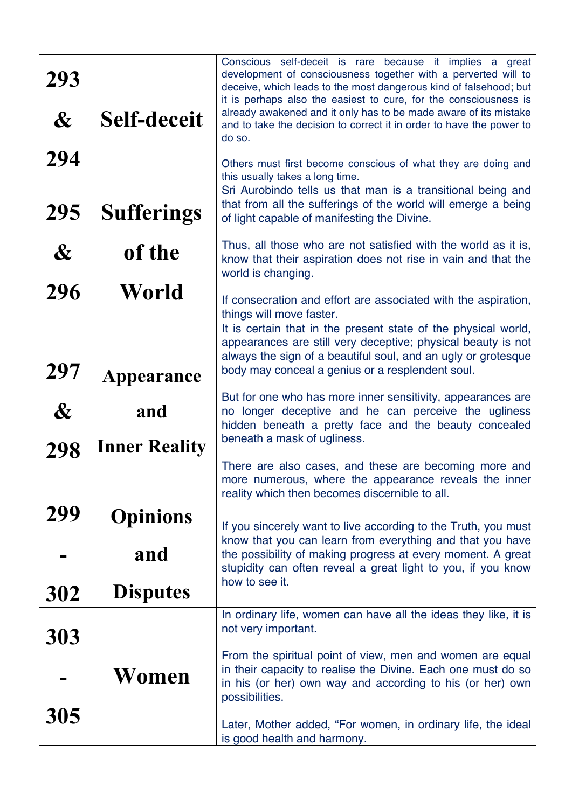| 293<br>$\boldsymbol{\&}$ | <b>Self-deceit</b>          | Conscious self-deceit is rare because it implies a great<br>development of consciousness together with a perverted will to<br>deceive, which leads to the most dangerous kind of falsehood; but<br>it is perhaps also the easiest to cure, for the consciousness is<br>already awakened and it only has to be made aware of its mistake<br>and to take the decision to correct it in order to have the power to<br>do so. |
|--------------------------|-----------------------------|---------------------------------------------------------------------------------------------------------------------------------------------------------------------------------------------------------------------------------------------------------------------------------------------------------------------------------------------------------------------------------------------------------------------------|
| 294<br>295               | <b>Sufferings</b>           | Others must first become conscious of what they are doing and<br>this usually takes a long time.<br>Sri Aurobindo tells us that man is a transitional being and<br>that from all the sufferings of the world will emerge a being                                                                                                                                                                                          |
| $\boldsymbol{\&}$        | of the                      | of light capable of manifesting the Divine.<br>Thus, all those who are not satisfied with the world as it is,<br>know that their aspiration does not rise in vain and that the<br>world is changing.                                                                                                                                                                                                                      |
| 296                      | World                       | If consecration and effort are associated with the aspiration,<br>things will move faster.                                                                                                                                                                                                                                                                                                                                |
| 297                      | Appearance                  | It is certain that in the present state of the physical world,<br>appearances are still very deceptive; physical beauty is not<br>always the sign of a beautiful soul, and an ugly or grotesque<br>body may conceal a genius or a resplendent soul.                                                                                                                                                                       |
| $\boldsymbol{\&}$<br>298 | and<br><b>Inner Reality</b> | But for one who has more inner sensitivity, appearances are<br>no longer deceptive and he can perceive the ugliness<br>hidden beneath a pretty face and the beauty concealed<br>beneath a mask of ugliness.                                                                                                                                                                                                               |
|                          |                             | There are also cases, and these are becoming more and<br>more numerous, where the appearance reveals the inner<br>reality which then becomes discernible to all.                                                                                                                                                                                                                                                          |
| 299                      | <b>Opinions</b>             | If you sincerely want to live according to the Truth, you must<br>know that you can learn from everything and that you have                                                                                                                                                                                                                                                                                               |
|                          | and                         | the possibility of making progress at every moment. A great<br>stupidity can often reveal a great light to you, if you know<br>how to see it.                                                                                                                                                                                                                                                                             |
| 302                      | <b>Disputes</b>             |                                                                                                                                                                                                                                                                                                                                                                                                                           |
| 303                      | Women                       | In ordinary life, women can have all the ideas they like, it is<br>not very important.<br>From the spiritual point of view, men and women are equal<br>in their capacity to realise the Divine. Each one must do so<br>in his (or her) own way and according to his (or her) own<br>possibilities.                                                                                                                        |
| 305                      |                             | Later, Mother added, "For women, in ordinary life, the ideal<br>is good health and harmony.                                                                                                                                                                                                                                                                                                                               |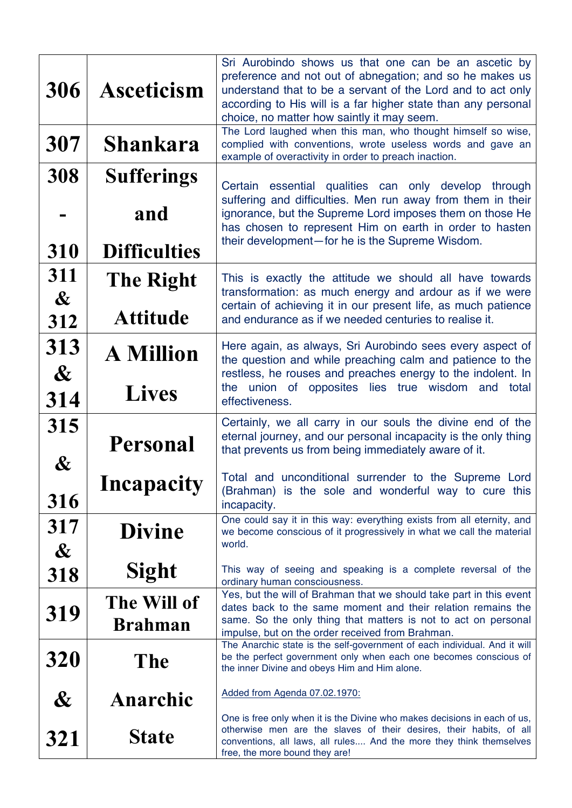| 306                          | <b>Asceticism</b>             | Sri Aurobindo shows us that one can be an ascetic by<br>preference and not out of abnegation; and so he makes us<br>understand that to be a servant of the Lord and to act only<br>according to His will is a far higher state than any personal<br>choice, no matter how saintly it may seem.<br>The Lord laughed when this man, who thought himself so wise, |
|------------------------------|-------------------------------|----------------------------------------------------------------------------------------------------------------------------------------------------------------------------------------------------------------------------------------------------------------------------------------------------------------------------------------------------------------|
| 307                          | <b>Shankara</b>               | complied with conventions, wrote useless words and gave an<br>example of overactivity in order to preach inaction.                                                                                                                                                                                                                                             |
| 308                          | <b>Sufferings</b>             | essential qualities can only develop<br>through<br>Certain<br>suffering and difficulties. Men run away from them in their                                                                                                                                                                                                                                      |
|                              | and                           | ignorance, but the Supreme Lord imposes them on those He<br>has chosen to represent Him on earth in order to hasten                                                                                                                                                                                                                                            |
| 310                          | <b>Difficulties</b>           | their development-for he is the Supreme Wisdom.                                                                                                                                                                                                                                                                                                                |
| 311<br>$\boldsymbol{\alpha}$ | <b>The Right</b>              | This is exactly the attitude we should all have towards<br>transformation: as much energy and ardour as if we were<br>certain of achieving it in our present life, as much patience                                                                                                                                                                            |
| 312                          | <b>Attitude</b>               | and endurance as if we needed centuries to realise it.                                                                                                                                                                                                                                                                                                         |
| 313<br>$\boldsymbol{\alpha}$ | <b>A Million</b>              | Here again, as always, Sri Aurobindo sees every aspect of<br>the question and while preaching calm and patience to the<br>restless, he rouses and preaches energy to the indolent. In                                                                                                                                                                          |
| 314                          | <b>Lives</b>                  | union of opposites lies true<br>wisdom<br>the<br>and<br>total<br>effectiveness.                                                                                                                                                                                                                                                                                |
| 315<br>$\boldsymbol{\&}$     | <b>Personal</b>               | Certainly, we all carry in our souls the divine end of the<br>eternal journey, and our personal incapacity is the only thing<br>that prevents us from being immediately aware of it.                                                                                                                                                                           |
| 316                          | Incapacity                    | Total and unconditional surrender to the Supreme Lord<br>(Brahman) is the sole and wonderful way to cure this<br>incapacity.                                                                                                                                                                                                                                   |
| 317<br>$\boldsymbol{\alpha}$ | <b>Divine</b>                 | One could say it in this way: everything exists from all eternity, and<br>we become conscious of it progressively in what we call the material<br>world.                                                                                                                                                                                                       |
| 318                          | <b>Sight</b>                  | This way of seeing and speaking is a complete reversal of the<br>ordinary human consciousness.                                                                                                                                                                                                                                                                 |
| 319                          | The Will of<br><b>Brahman</b> | Yes, but the will of Brahman that we should take part in this event<br>dates back to the same moment and their relation remains the<br>same. So the only thing that matters is not to act on personal<br>impulse, but on the order received from Brahman.                                                                                                      |
| 320                          | The                           | The Anarchic state is the self-government of each individual. And it will<br>be the perfect government only when each one becomes conscious of<br>the inner Divine and obeys Him and Him alone.                                                                                                                                                                |
| $\boldsymbol{\&}$            | Anarchic                      | Added from Agenda 07.02.1970:                                                                                                                                                                                                                                                                                                                                  |
| 321                          | <b>State</b>                  | One is free only when it is the Divine who makes decisions in each of us,<br>otherwise men are the slaves of their desires, their habits, of all<br>conventions, all laws, all rules And the more they think themselves<br>free, the more bound they are!                                                                                                      |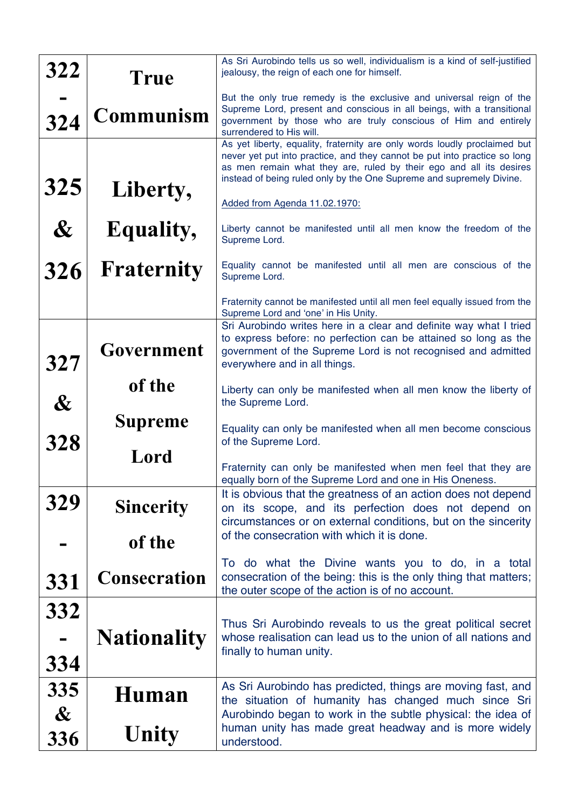| 322                          | True                | As Sri Aurobindo tells us so well, individualism is a kind of self-justified<br>jealousy, the reign of each one for himself.                                                                                                                                                                          |
|------------------------------|---------------------|-------------------------------------------------------------------------------------------------------------------------------------------------------------------------------------------------------------------------------------------------------------------------------------------------------|
| 324                          | Communism           | But the only true remedy is the exclusive and universal reign of the<br>Supreme Lord, present and conscious in all beings, with a transitional<br>government by those who are truly conscious of Him and entirely<br>surrendered to His will.                                                         |
|                              |                     | As yet liberty, equality, fraternity are only words loudly proclaimed but<br>never yet put into practice, and they cannot be put into practice so long<br>as men remain what they are, ruled by their ego and all its desires<br>instead of being ruled only by the One Supreme and supremely Divine. |
| 325                          | Liberty,            | Added from Agenda 11.02.1970:                                                                                                                                                                                                                                                                         |
| $\boldsymbol{\&}$            | <b>Equality,</b>    | Liberty cannot be manifested until all men know the freedom of the<br>Supreme Lord.                                                                                                                                                                                                                   |
| 326                          | <b>Fraternity</b>   | Equality cannot be manifested until all men are conscious of the<br>Supreme Lord.                                                                                                                                                                                                                     |
|                              |                     | Fraternity cannot be manifested until all men feel equally issued from the<br>Supreme Lord and 'one' in His Unity.                                                                                                                                                                                    |
| 327                          | Government          | Sri Aurobindo writes here in a clear and definite way what I tried<br>to express before: no perfection can be attained so long as the<br>government of the Supreme Lord is not recognised and admitted<br>everywhere and in all things.                                                               |
| $\boldsymbol{\&}$            | of the              | Liberty can only be manifested when all men know the liberty of<br>the Supreme Lord.                                                                                                                                                                                                                  |
| 328                          | <b>Supreme</b>      | Equality can only be manifested when all men become conscious<br>of the Supreme Lord.                                                                                                                                                                                                                 |
|                              | Lord                | Fraternity can only be manifested when men feel that they are<br>equally born of the Supreme Lord and one in His Oneness.                                                                                                                                                                             |
| 329                          | <b>Sincerity</b>    | It is obvious that the greatness of an action does not depend<br>on its scope, and its perfection does not depend on<br>circumstances or on external conditions, but on the sincerity                                                                                                                 |
|                              | of the              | of the consecration with which it is done.                                                                                                                                                                                                                                                            |
| 331                          | <b>Consecration</b> | To do what the Divine wants you to do, in a total<br>consecration of the being: this is the only thing that matters;<br>the outer scope of the action is of no account.                                                                                                                               |
| 332                          |                     | Thus Sri Aurobindo reveals to us the great political secret                                                                                                                                                                                                                                           |
| 334                          | <b>Nationality</b>  | whose realisation can lead us to the union of all nations and<br>finally to human unity.                                                                                                                                                                                                              |
| 335<br>$\boldsymbol{\alpha}$ | Human               | As Sri Aurobindo has predicted, things are moving fast, and<br>the situation of humanity has changed much since Sri<br>Aurobindo began to work in the subtle physical: the idea of                                                                                                                    |
| 336                          | Unity               | human unity has made great headway and is more widely<br>understood.                                                                                                                                                                                                                                  |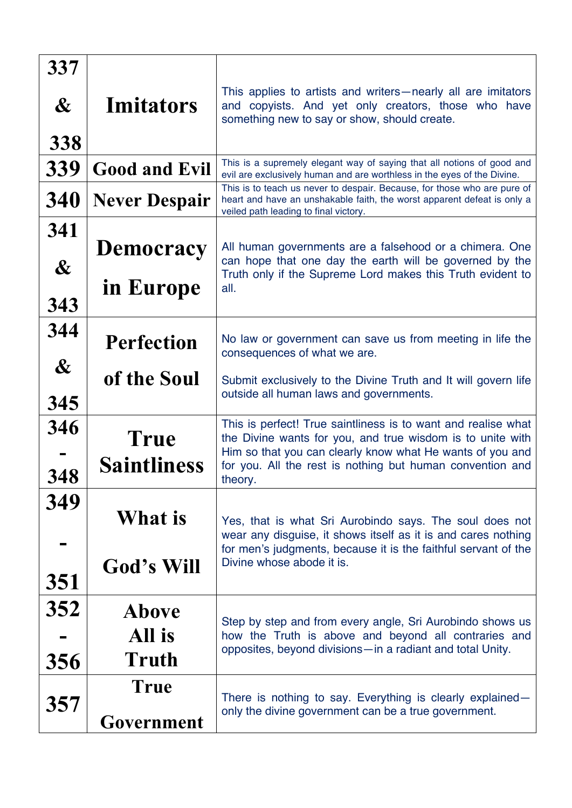| 337<br>$\boldsymbol{\&}$<br>338 | <b>Imitators</b>                                      | This applies to artists and writers—nearly all are imitators<br>and copyists. And yet only creators, those who have<br>something new to say or show, should create.                                                                                                                                      |
|---------------------------------|-------------------------------------------------------|----------------------------------------------------------------------------------------------------------------------------------------------------------------------------------------------------------------------------------------------------------------------------------------------------------|
| 339<br>340                      | <b>Good and Evil</b>                                  | This is a supremely elegant way of saying that all notions of good and<br>evil are exclusively human and are worthless in the eyes of the Divine.<br>This is to teach us never to despair. Because, for those who are pure of<br>heart and have an unshakable faith, the worst apparent defeat is only a |
| 341<br>$\boldsymbol{\&}$        | <b>Never Despair</b><br><b>Democracy</b><br>in Europe | veiled path leading to final victory.<br>All human governments are a falsehood or a chimera. One<br>can hope that one day the earth will be governed by the<br>Truth only if the Supreme Lord makes this Truth evident to<br>all.                                                                        |
| 343<br>344<br>$\boldsymbol{\&}$ | <b>Perfection</b>                                     | No law or government can save us from meeting in life the<br>consequences of what we are.                                                                                                                                                                                                                |
| 345                             | of the Soul                                           | Submit exclusively to the Divine Truth and It will govern life<br>outside all human laws and governments.                                                                                                                                                                                                |
| 346<br>348                      | <b>True</b><br><b>Saintliness</b>                     | This is perfect! True saintliness is to want and realise what<br>the Divine wants for you, and true wisdom is to unite with<br>Him so that you can clearly know what He wants of you and<br>for you. All the rest is nothing but human convention and<br>theory.                                         |
| 349                             | What is<br>God's Will                                 | Yes, that is what Sri Aurobindo says. The soul does not<br>wear any disguise, it shows itself as it is and cares nothing<br>for men's judgments, because it is the faithful servant of the<br>Divine whose abode it is.                                                                                  |
| 351<br>352                      | <b>Above</b>                                          | Step by step and from every angle, Sri Aurobindo shows us                                                                                                                                                                                                                                                |
| 356                             | All is<br>Truth                                       | how the Truth is above and beyond all contraries and<br>opposites, beyond divisions-in a radiant and total Unity.                                                                                                                                                                                        |
| 357                             | <b>True</b><br>Government                             | There is nothing to say. Everything is clearly explained-<br>only the divine government can be a true government.                                                                                                                                                                                        |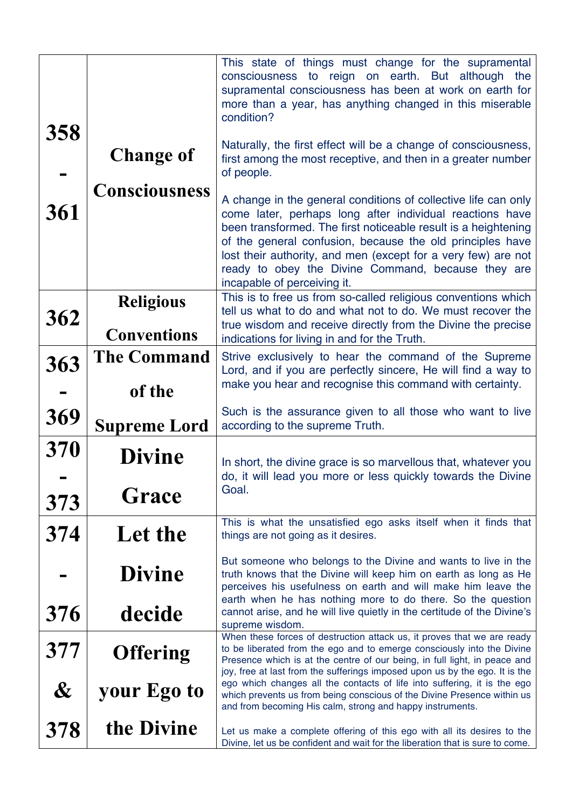|                   |                                        | This state of things must change for the supramental<br>consciousness to reign on earth. But although<br>the<br>supramental consciousness has been at work on earth for<br>more than a year, has anything changed in this miserable<br>condition?                                                                                                                                                               |
|-------------------|----------------------------------------|-----------------------------------------------------------------------------------------------------------------------------------------------------------------------------------------------------------------------------------------------------------------------------------------------------------------------------------------------------------------------------------------------------------------|
| 358               | <b>Change of</b>                       | Naturally, the first effect will be a change of consciousness,<br>first among the most receptive, and then in a greater number<br>of people.                                                                                                                                                                                                                                                                    |
| 361               | <b>Consciousness</b>                   | A change in the general conditions of collective life can only<br>come later, perhaps long after individual reactions have<br>been transformed. The first noticeable result is a heightening<br>of the general confusion, because the old principles have<br>lost their authority, and men (except for a very few) are not<br>ready to obey the Divine Command, because they are<br>incapable of perceiving it. |
| 362               | <b>Religious</b><br><b>Conventions</b> | This is to free us from so-called religious conventions which<br>tell us what to do and what not to do. We must recover the<br>true wisdom and receive directly from the Divine the precise<br>indications for living in and for the Truth.                                                                                                                                                                     |
| 363               | <b>The Command</b><br>of the           | Strive exclusively to hear the command of the Supreme<br>Lord, and if you are perfectly sincere, He will find a way to<br>make you hear and recognise this command with certainty.                                                                                                                                                                                                                              |
| 369               | <b>Supreme Lord</b>                    | Such is the assurance given to all those who want to live<br>according to the supreme Truth.                                                                                                                                                                                                                                                                                                                    |
| 370               | <b>Divine</b>                          | In short, the divine grace is so marvellous that, whatever you<br>do, it will lead you more or less quickly towards the Divine                                                                                                                                                                                                                                                                                  |
| 373               | Grace                                  | Goal.                                                                                                                                                                                                                                                                                                                                                                                                           |
| 374               | Let the                                | This is what the unsatisfied ego asks itself when it finds that<br>things are not going as it desires.                                                                                                                                                                                                                                                                                                          |
|                   | <b>Divine</b>                          | But someone who belongs to the Divine and wants to live in the<br>truth knows that the Divine will keep him on earth as long as He<br>perceives his usefulness on earth and will make him leave the<br>earth when he has nothing more to do there. So the question                                                                                                                                              |
| 376               | decide                                 | cannot arise, and he will live quietly in the certitude of the Divine's<br>supreme wisdom.                                                                                                                                                                                                                                                                                                                      |
| 377               | <b>Offering</b>                        | When these forces of destruction attack us, it proves that we are ready<br>to be liberated from the ego and to emerge consciously into the Divine<br>Presence which is at the centre of our being, in full light, in peace and<br>joy, free at last from the sufferings imposed upon us by the ego. It is the                                                                                                   |
| $\boldsymbol{\&}$ | your Ego to                            | ego which changes all the contacts of life into suffering, it is the ego<br>which prevents us from being conscious of the Divine Presence within us<br>and from becoming His calm, strong and happy instruments.                                                                                                                                                                                                |
| 378               | the Divine                             | Let us make a complete offering of this ego with all its desires to the<br>Divine, let us be confident and wait for the liberation that is sure to come.                                                                                                                                                                                                                                                        |